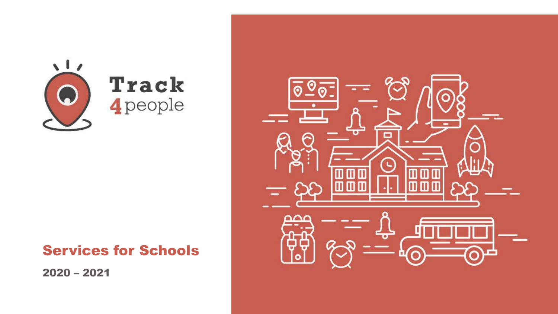

# Services for Schools

2020 – 2021

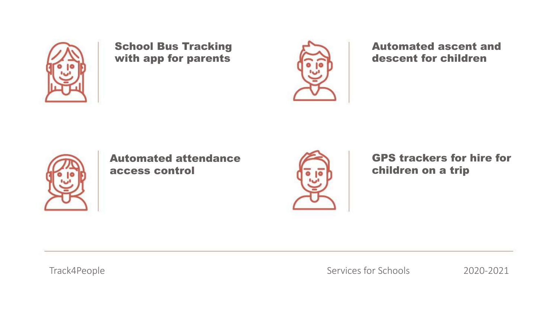

School Bus Tracking with app for parents



Automated ascent and descent for children



Automated attendance access control



GPS trackers for hire for children on a trip

Track4People

Services for Schools 2020-2021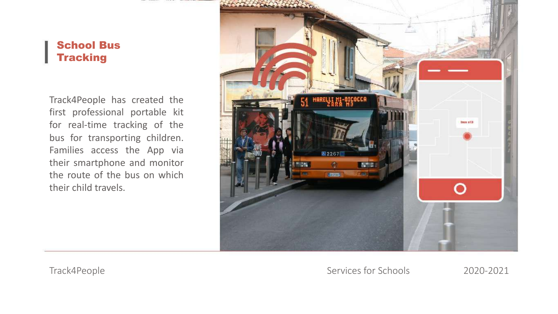#### School Bus **Tracking**

Track4People has created the first professional portable kit for real-time tracking of the bus for transporting children. Families access the App via their smartphone and monitor the route of the bus on which their child travels.

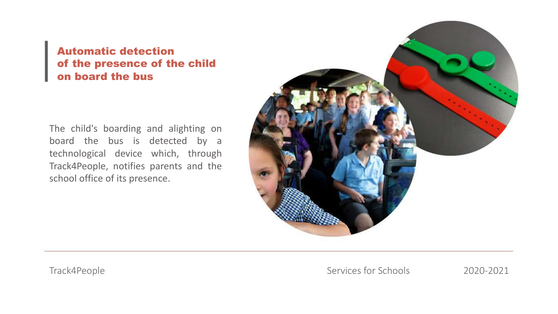## Automatic detection of the presence of the child on board the bus

The child's boarding and alighting on board the bus is detected by a technological device which, through Track4People, notifies parents and the school office of its presence.

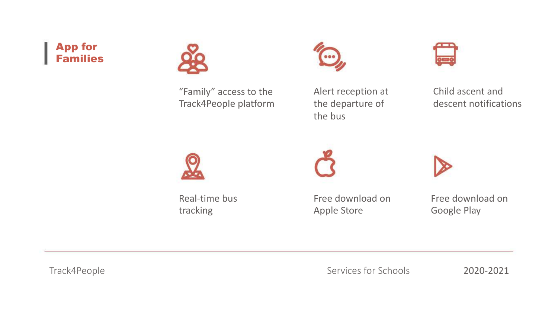## App for Families



"Family" access to the Track4People platform



Alert reception at the departure of the bus



Child ascent and descent notifications



Real-time bus tracking

Free download on Apple Store

Free download on Google Play

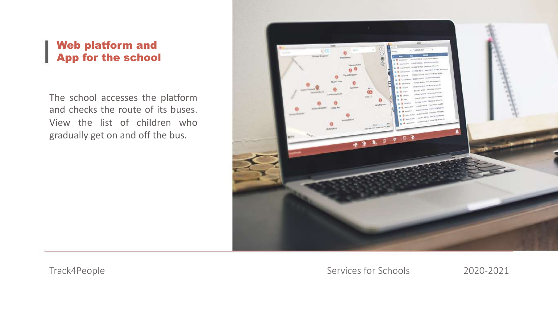#### Web platform and App for the school

The school accesses the platform and checks the route of its buses. View the list of children who gradually get on and off the bus.

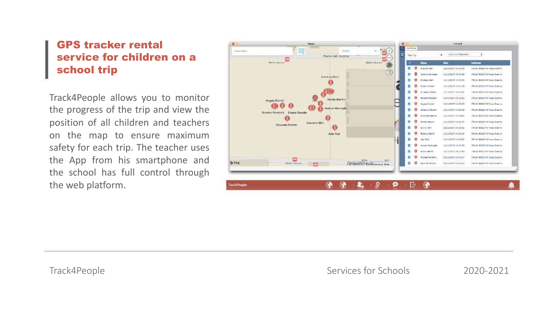#### GPS tracker rental service for children on a school trip

Track4People allows you to monitor the progress of the trip and view the position of all children and teachers on the map to ensure maximum safety for each trip. The teacher uses the App from his smartphone and the school has full control through the web platform.